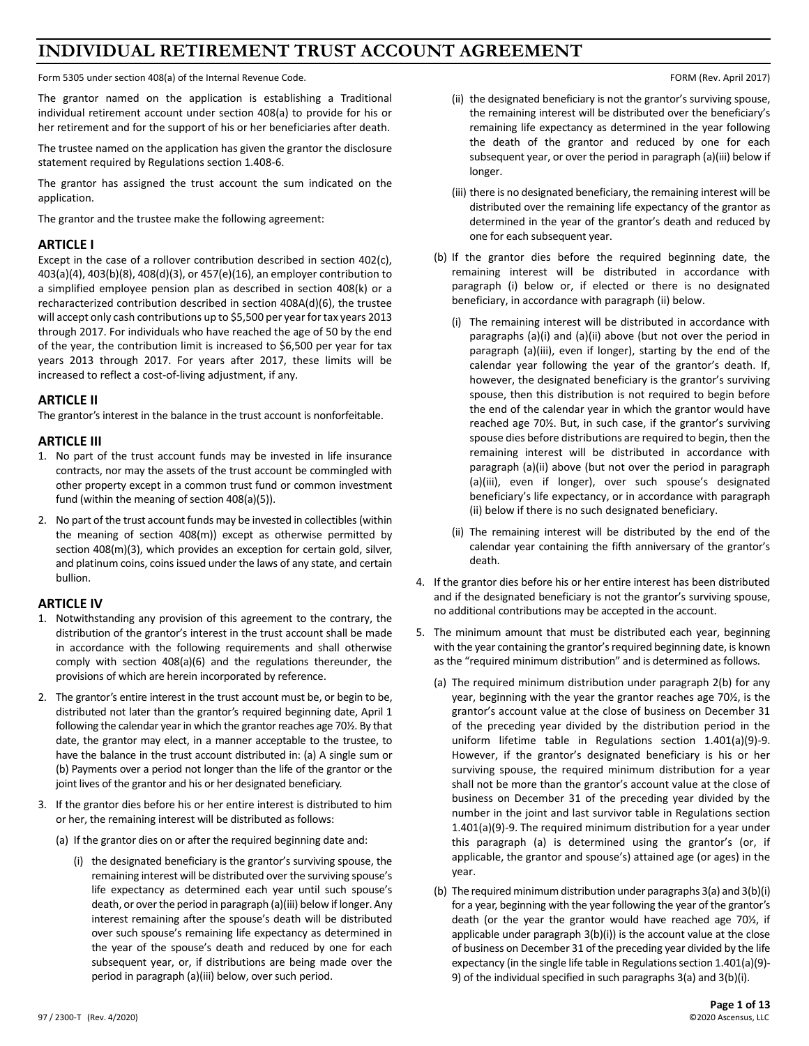# **INDIVIDUAL RETIREMENT TRUST ACCOUNT AGREEMENT**

Form 5305 under section 408(a) of the Internal Revenue Code. The Internal Revenue Code. FORM (Rev. April 2017)

The grantor named on the application is establishing a Traditional individual retirement account under section 408(a) to provide for his or her retirement and for the support of his or her beneficiaries after death.

The trustee named on the application has given the grantor the disclosure statement required by Regulations section 1.408-6.

The grantor has assigned the trust account the sum indicated on the application.

The grantor and the trustee make the following agreement:

#### **ARTICLE I**

Except in the case of a rollover contribution described in section 402(c), 403(a)(4), 403(b)(8), 408(d)(3), or 457(e)(16), an employer contribution to a simplified employee pension plan as described in section 408(k) or a recharacterized contribution described in section 408A(d)(6), the trustee will accept only cash contributions up to \$5,500 per year for tax years 2013 through 2017. For individuals who have reached the age of 50 by the end of the year, the contribution limit is increased to \$6,500 per year for tax years 2013 through 2017. For years after 2017, these limits will be increased to reflect a cost-of-living adjustment, if any.

### **ARTICLE II**

The grantor's interest in the balance in the trust account is nonforfeitable.

#### **ARTICLE III**

- 1. No part of the trust account funds may be invested in life insurance contracts, nor may the assets of the trust account be commingled with other property except in a common trust fund or common investment fund (within the meaning of section 408(a)(5)).
- 2. No part of the trust account funds may be invested in collectibles(within the meaning of section 408(m)) except as otherwise permitted by section 408(m)(3), which provides an exception for certain gold, silver, and platinum coins, coins issued under the laws of any state, and certain bullion.

## **ARTICLE IV**

- 1. Notwithstanding any provision of this agreement to the contrary, the distribution of the grantor's interest in the trust account shall be made in accordance with the following requirements and shall otherwise comply with section 408(a)(6) and the regulations thereunder, the provisions of which are herein incorporated by reference.
- 2. The grantor's entire interest in the trust account must be, or begin to be, distributed not later than the grantor's required beginning date, April 1 following the calendar year in which the grantor reaches age 70½. By that date, the grantor may elect, in a manner acceptable to the trustee, to have the balance in the trust account distributed in: (a) A single sum or (b) Payments over a period not longer than the life of the grantor or the joint lives of the grantor and his or her designated beneficiary.
- 3. If the grantor dies before his or her entire interest is distributed to him or her, the remaining interest will be distributed as follows:
	- (a) If the grantor dies on or after the required beginning date and:
		- (i) the designated beneficiary is the grantor's surviving spouse, the remaining interest will be distributed over the surviving spouse's life expectancy as determined each year until such spouse's death, or over the period in paragraph (a)(iii) below if longer. Any interest remaining after the spouse's death will be distributed over such spouse's remaining life expectancy as determined in the year of the spouse's death and reduced by one for each subsequent year, or, if distributions are being made over the period in paragraph (a)(iii) below, over such period.

- (ii) the designated beneficiary is not the grantor's surviving spouse, the remaining interest will be distributed over the beneficiary's remaining life expectancy as determined in the year following the death of the grantor and reduced by one for each subsequent year, or over the period in paragraph (a)(iii) below if longer.
- (iii) there is no designated beneficiary, the remaining interest will be distributed over the remaining life expectancy of the grantor as determined in the year of the grantor's death and reduced by one for each subsequent year.
- (b) If the grantor dies before the required beginning date, the remaining interest will be distributed in accordance with paragraph (i) below or, if elected or there is no designated beneficiary, in accordance with paragraph (ii) below.
	- (i) The remaining interest will be distributed in accordance with paragraphs (a)(i) and (a)(ii) above (but not over the period in paragraph (a)(iii), even if longer), starting by the end of the calendar year following the year of the grantor's death. If, however, the designated beneficiary is the grantor's surviving spouse, then this distribution is not required to begin before the end of the calendar year in which the grantor would have reached age 70½. But, in such case, if the grantor's surviving spouse dies before distributions are required to begin, then the remaining interest will be distributed in accordance with paragraph (a)(ii) above (but not over the period in paragraph (a)(iii), even if longer), over such spouse's designated beneficiary's life expectancy, or in accordance with paragraph (ii) below if there is no such designated beneficiary.
	- (ii) The remaining interest will be distributed by the end of the calendar year containing the fifth anniversary of the grantor's death.
- 4. If the grantor dies before his or her entire interest has been distributed and if the designated beneficiary is not the grantor's surviving spouse, no additional contributions may be accepted in the account.
- 5. The minimum amount that must be distributed each year, beginning with the year containing the grantor's required beginning date, is known as the "required minimum distribution" and is determined as follows.
	- (a) The required minimum distribution under paragraph 2(b) for any year, beginning with the year the grantor reaches age 70½, is the grantor's account value at the close of business on December 31 of the preceding year divided by the distribution period in the uniform lifetime table in Regulations section 1.401(a)(9)-9. However, if the grantor's designated beneficiary is his or her surviving spouse, the required minimum distribution for a year shall not be more than the grantor's account value at the close of business on December 31 of the preceding year divided by the number in the joint and last survivor table in Regulations section 1.401(a)(9)-9. The required minimum distribution for a year under this paragraph (a) is determined using the grantor's (or, if applicable, the grantor and spouse's) attained age (or ages) in the year.
	- (b) The required minimum distribution under paragraphs 3(a) and 3(b)(i) for a year, beginning with the year following the year of the grantor's death (or the year the grantor would have reached age 70½, if applicable under paragraph 3(b)(i)) is the account value at the close of business on December 31 of the preceding year divided by the life expectancy (in the single life table in Regulations section 1.401(a)(9)- 9) of the individual specified in such paragraphs 3(a) and 3(b)(i).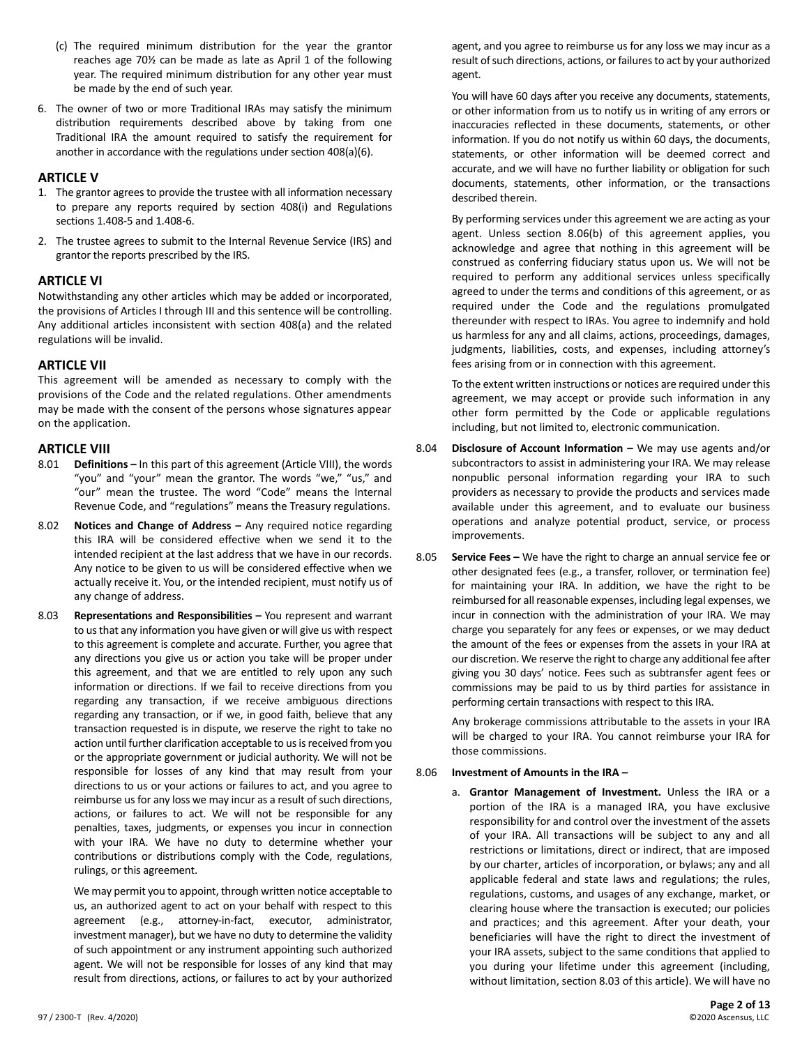- (c) The required minimum distribution for the year the grantor reaches age 70½ can be made as late as April 1 of the following year. The required minimum distribution for any other year must be made by the end of such year.
- 6. The owner of two or more Traditional IRAs may satisfy the minimum distribution requirements described above by taking from one Traditional IRA the amount required to satisfy the requirement for another in accordance with the regulations under section 408(a)(6).

### **ARTICLE V**

- 1. The grantor agrees to provide the trustee with all information necessary to prepare any reports required by section 408(i) and Regulations sections 1.408-5 and 1.408-6.
- 2. The trustee agrees to submit to the Internal Revenue Service (IRS) and grantor the reports prescribed by the IRS.

# **ARTICLE VI**

Notwithstanding any other articles which may be added or incorporated, the provisions of Articles I through III and this sentence will be controlling. Any additional articles inconsistent with section 408(a) and the related regulations will be invalid.

### **ARTICLE VII**

This agreement will be amended as necessary to comply with the provisions of the Code and the related regulations. Other amendments may be made with the consent of the persons whose signatures appear on the application.

### **ARTICLE VIII**

- 8.01 **Definitions –** In this part of this agreement (Article VIII), the words "you" and "your" mean the grantor. The words "we," "us," and "our" mean the trustee. The word "Code" means the Internal Revenue Code, and "regulations" means the Treasury regulations.
- 8.02 **Notices and Change of Address –** Any required notice regarding this IRA will be considered effective when we send it to the intended recipient at the last address that we have in our records. Any notice to be given to us will be considered effective when we actually receive it. You, or the intended recipient, must notify us of any change of address.
- 8.03 **Representations and Responsibilities –** You represent and warrant to us that any information you have given or will give us with respect to this agreement is complete and accurate. Further, you agree that any directions you give us or action you take will be proper under this agreement, and that we are entitled to rely upon any such information or directions. If we fail to receive directions from you regarding any transaction, if we receive ambiguous directions regarding any transaction, or if we, in good faith, believe that any transaction requested is in dispute, we reserve the right to take no action until further clarification acceptable to us is received from you or the appropriate government or judicial authority. We will not be responsible for losses of any kind that may result from your directions to us or your actions or failures to act, and you agree to reimburse us for any loss we may incur as a result of such directions, actions, or failures to act. We will not be responsible for any penalties, taxes, judgments, or expenses you incur in connection with your IRA. We have no duty to determine whether your contributions or distributions comply with the Code, regulations, rulings, or this agreement.

We may permit you to appoint, through written notice acceptable to us, an authorized agent to act on your behalf with respect to this agreement (e.g., attorney-in-fact, executor, administrator, investment manager), but we have no duty to determine the validity of such appointment or any instrument appointing such authorized agent. We will not be responsible for losses of any kind that may result from directions, actions, or failures to act by your authorized

agent, and you agree to reimburse us for any loss we may incur as a result of such directions, actions, or failures to act by your authorized agent.

You will have 60 days after you receive any documents, statements, or other information from us to notify us in writing of any errors or inaccuracies reflected in these documents, statements, or other information. If you do not notify us within 60 days, the documents, statements, or other information will be deemed correct and accurate, and we will have no further liability or obligation for such documents, statements, other information, or the transactions described therein.

By performing services under this agreement we are acting as your agent. Unless section 8.06(b) of this agreement applies, you acknowledge and agree that nothing in this agreement will be construed as conferring fiduciary status upon us. We will not be required to perform any additional services unless specifically agreed to under the terms and conditions of this agreement, or as required under the Code and the regulations promulgated thereunder with respect to IRAs. You agree to indemnify and hold us harmless for any and all claims, actions, proceedings, damages, judgments, liabilities, costs, and expenses, including attorney's fees arising from or in connection with this agreement.

To the extent written instructions or notices are required under this agreement, we may accept or provide such information in any other form permitted by the Code or applicable regulations including, but not limited to, electronic communication.

- 8.04 **Disclosure of Account Information –** We may use agents and/or subcontractors to assist in administering your IRA. We may release nonpublic personal information regarding your IRA to such providers as necessary to provide the products and services made available under this agreement, and to evaluate our business operations and analyze potential product, service, or process improvements.
- 8.05 **Service Fees –** We have the right to charge an annual service fee or other designated fees (e.g., a transfer, rollover, or termination fee) for maintaining your IRA. In addition, we have the right to be reimbursed for all reasonable expenses, including legal expenses, we incur in connection with the administration of your IRA. We may charge you separately for any fees or expenses, or we may deduct the amount of the fees or expenses from the assets in your IRA at our discretion. We reserve the right to charge any additional fee after giving you 30 days' notice. Fees such as subtransfer agent fees or commissions may be paid to us by third parties for assistance in performing certain transactions with respect to this IRA.

Any brokerage commissions attributable to the assets in your IRA will be charged to your IRA. You cannot reimburse your IRA for those commissions.

#### 8.06 **Investment of Amounts in the IRA –**

a. **Grantor Management of Investment.** Unless the IRA or a portion of the IRA is a managed IRA, you have exclusive responsibility for and control over the investment of the assets of your IRA. All transactions will be subject to any and all restrictions or limitations, direct or indirect, that are imposed by our charter, articles of incorporation, or bylaws; any and all applicable federal and state laws and regulations; the rules, regulations, customs, and usages of any exchange, market, or clearing house where the transaction is executed; our policies and practices; and this agreement. After your death, your beneficiaries will have the right to direct the investment of your IRA assets, subject to the same conditions that applied to you during your lifetime under this agreement (including, without limitation, section 8.03 of this article). We will have no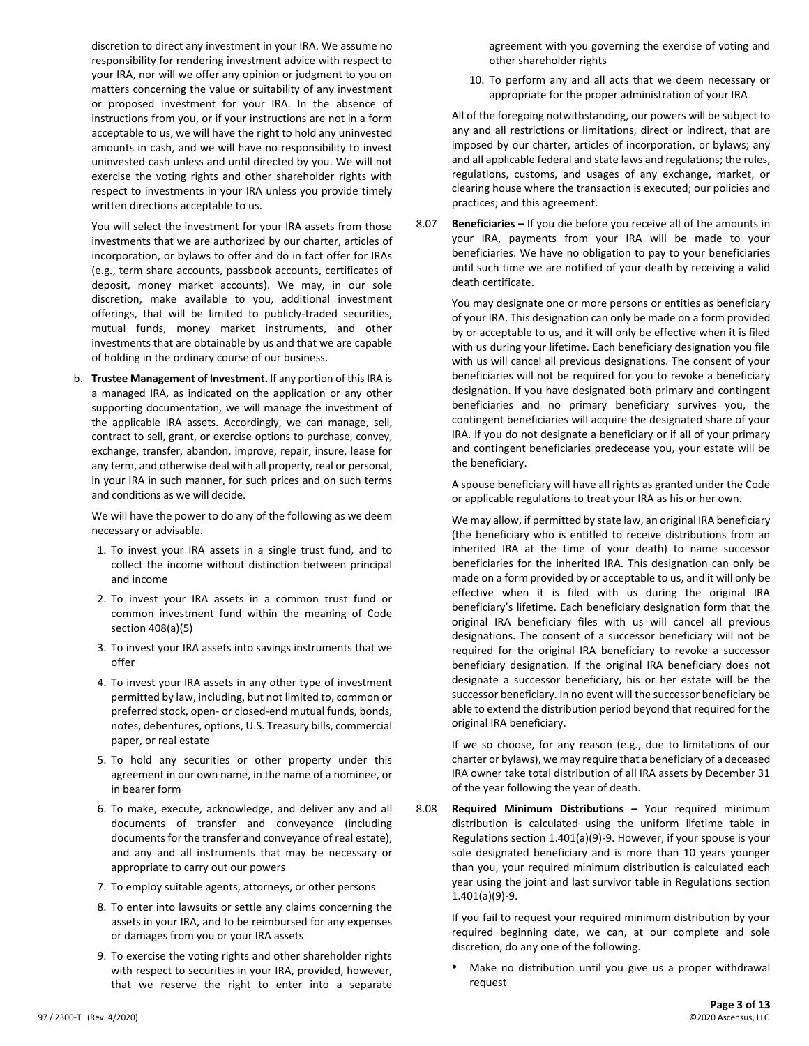discretion to direct any investment in your IRA. We assume no responsibility for rendering investment advice with respect to your IRA, nor will we offer any opinion or judgment to you on matters concerning the value or suitability of any investment or proposed investment for your IRA. In the absence of instructions from you, or if your instructions are not in a form acceptable to us, we will have the right to hold any uninvested amounts in cash, and we will have no responsibility to invest uninvested cash unless and until directed by you. We will not exercise the voting rights and other shareholder rights with respect to investments in your IRA unless you provide timely written directions acceptable to us.

You will select the investment for your IRA assets from those investments that we are authorized by our charter, articles of incorporation, or bylaws to offer and do in fact offer for IRAs (e.g., term share accounts, passbook accounts, certificates of deposit, money market accounts). We may, in our sole discretion, make available to you, additional investment offerings, that will be limited to publicly-traded securities, mutual funds, money market instruments, and other investments that are obtainable by us and that we are capable of holding in the ordinary course of our business.

b. **Trustee Management of Investment.** If any portion of this IRA is a managed IRA, as indicated on the application or any other supporting documentation, we will manage the investment of the applicable IRA assets. Accordingly, we can manage, sell, contract to sell, grant, or exercise options to purchase, convey, exchange, transfer, abandon, improve, repair, insure, lease for any term, and otherwise deal with all property, real or personal, in your IRA in such manner, for such prices and on such terms and conditions as we will decide.

We will have the power to do any of the following as we deem necessary or advisable.

- 1. To invest your IRA assets in a single trust fund, and to collect the income without distinction between principal and income
- 2. To invest your IRA assets in a common trust fund or common investment fund within the meaning of Code section 408(a)(5)
- 3. To invest your IRA assets into savings instruments that we offer
- 4. To invest your IRA assets in any other type of investment permitted by law, including, but not limited to, common or preferred stock, open- or closed-end mutual funds, bonds, notes, debentures, options, U.S. Treasury bills, commercial paper, or real estate
- 5. To hold any securities or other property under this agreement in our own name, in the name of a nominee, or in bearer form
- 6. To make, execute, acknowledge, and deliver any and all documents of transfer and conveyance (including documents for the transfer and conveyance of real estate), and any and all instruments that may be necessary or appropriate to carry out our powers
- 7. To employ suitable agents, attorneys, or other persons
- 8. To enter into lawsuits or settle any claims concerning the assets in your IRA, and to be reimbursed for any expenses or damages from you or your IRA assets
- 9. To exercise the voting rights and other shareholder rights with respect to securities in your IRA, provided, however, that we reserve the right to enter into a separate

agreement with you governing the exercise of voting and other shareholder rights

10. To perform any and all acts that we deem necessary or appropriate for the proper administration of your IRA

All of the foregoing notwithstanding, our powers will be subject to any and all restrictions or limitations, direct or indirect, that are imposed by our charter, articles of incorporation, or bylaws; any and all applicable federal and state laws and regulations; the rules, regulations, customs, and usages of any exchange, market, or clearing house where the transaction is executed; our policies and practices; and this agreement.

8.07 **Beneficiaries –** If you die before you receive all of the amounts in your IRA, payments from your IRA will be made to your beneficiaries. We have no obligation to pay to your beneficiaries until such time we are notified of your death by receiving a valid death certificate.

You may designate one or more persons or entities as beneficiary of your IRA. This designation can only be made on a form provided by or acceptable to us, and it will only be effective when it is filed with us during your lifetime. Each beneficiary designation you file with us will cancel all previous designations. The consent of your beneficiaries will not be required for you to revoke a beneficiary designation. If you have designated both primary and contingent beneficiaries and no primary beneficiary survives you, the contingent beneficiaries will acquire the designated share of your IRA. If you do not designate a beneficiary or if all of your primary and contingent beneficiaries predecease you, your estate will be the beneficiary.

A spouse beneficiary will have all rights as granted under the Code or applicable regulations to treat your IRA as his or her own.

We may allow, if permitted by state law, an original IRA beneficiary (the beneficiary who is entitled to receive distributions from an inherited IRA at the time of your death) to name successor beneficiaries for the inherited IRA. This designation can only be made on a form provided by or acceptable to us, and it will only be effective when it is filed with us during the original IRA beneficiary's lifetime. Each beneficiary designation form that the original IRA beneficiary files with us will cancel all previous designations. The consent of a successor beneficiary will not be required for the original IRA beneficiary to revoke a successor beneficiary designation. If the original IRA beneficiary does not designate a successor beneficiary, his or her estate will be the successor beneficiary. In no event will the successor beneficiary be able to extend the distribution period beyond that required for the original IRA beneficiary.

If we so choose, for any reason (e.g., due to limitations of our charter or bylaws), we may require that a beneficiary of a deceased IRA owner take total distribution of all IRA assets by December 31 of the year following the year of death.

8.08 **Required Minimum Distributions –** Your required minimum distribution is calculated using the uniform lifetime table in Regulations section 1.401(a)(9)-9. However, if your spouse is your sole designated beneficiary and is more than 10 years younger than you, your required minimum distribution is calculated each year using the joint and last survivor table in Regulations section 1.401(a)(9)-9.

If you fail to request your required minimum distribution by your required beginning date, we can, at our complete and sole discretion, do any one of the following.

Make no distribution until you give us a proper withdrawal request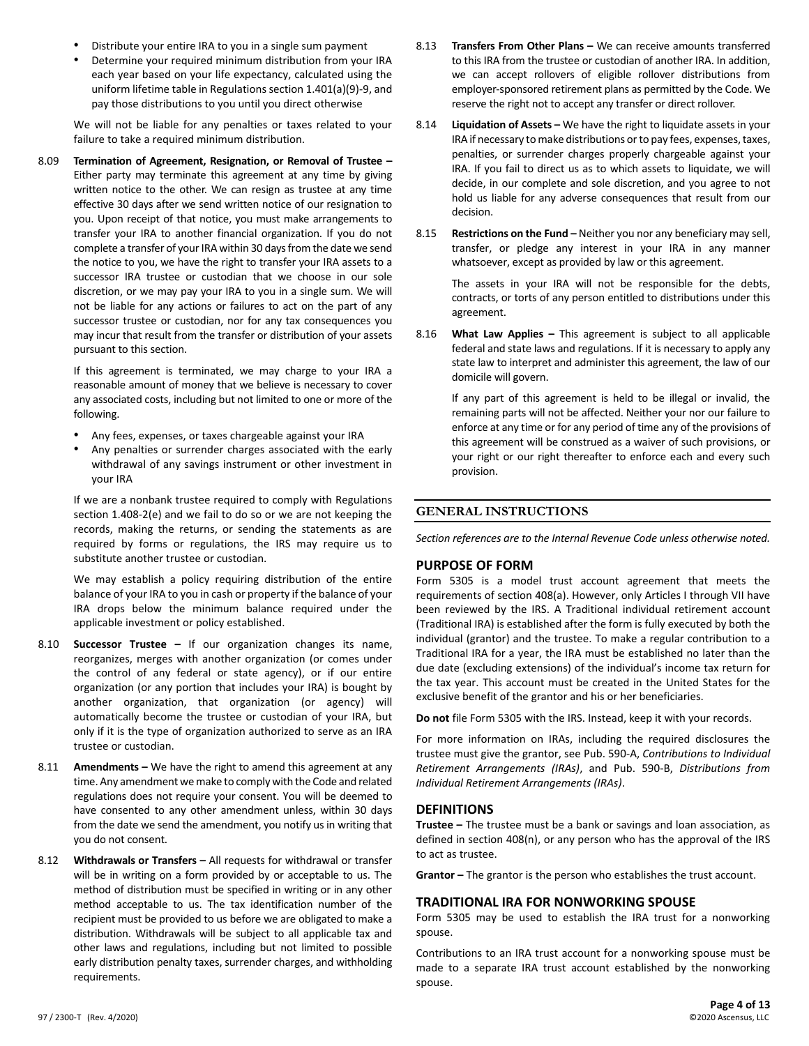- Distribute your entire IRA to you in a single sum payment
- Determine your required minimum distribution from your IRA each year based on your life expectancy, calculated using the uniform lifetime table in Regulations section 1.401(a)(9)-9, and pay those distributions to you until you direct otherwise

We will not be liable for any penalties or taxes related to your failure to take a required minimum distribution.

8.09 **Termination of Agreement, Resignation, or Removal of Trustee –** Either party may terminate this agreement at any time by giving written notice to the other. We can resign as trustee at any time effective 30 days after we send written notice of our resignation to you. Upon receipt of that notice, you must make arrangements to transfer your IRA to another financial organization. If you do not complete a transfer of your IRA within 30 days from the date we send the notice to you, we have the right to transfer your IRA assets to a successor IRA trustee or custodian that we choose in our sole discretion, or we may pay your IRA to you in a single sum. We will not be liable for any actions or failures to act on the part of any successor trustee or custodian, nor for any tax consequences you may incur that result from the transfer or distribution of your assets pursuant to this section.

If this agreement is terminated, we may charge to your IRA a reasonable amount of money that we believe is necessary to cover any associated costs, including but not limited to one or more of the following.

- Any fees, expenses, or taxes chargeable against your IRA
- Any penalties or surrender charges associated with the early withdrawal of any savings instrument or other investment in your IRA

If we are a nonbank trustee required to comply with Regulations section 1.408-2(e) and we fail to do so or we are not keeping the records, making the returns, or sending the statements as are required by forms or regulations, the IRS may require us to substitute another trustee or custodian.

We may establish a policy requiring distribution of the entire balance of your IRA to you in cash or property if the balance of your IRA drops below the minimum balance required under the applicable investment or policy established.

- 8.10 **Successor Trustee –** If our organization changes its name, reorganizes, merges with another organization (or comes under the control of any federal or state agency), or if our entire organization (or any portion that includes your IRA) is bought by another organization, that organization (or agency) will automatically become the trustee or custodian of your IRA, but only if it is the type of organization authorized to serve as an IRA trustee or custodian.
- 8.11 **Amendments –** We have the right to amend this agreement at any time. Any amendment we make to comply with the Code and related regulations does not require your consent. You will be deemed to have consented to any other amendment unless, within 30 days from the date we send the amendment, you notify us in writing that you do not consent.
- 8.12 **Withdrawals or Transfers –** All requests for withdrawal or transfer will be in writing on a form provided by or acceptable to us. The method of distribution must be specified in writing or in any other method acceptable to us. The tax identification number of the recipient must be provided to us before we are obligated to make a distribution. Withdrawals will be subject to all applicable tax and other laws and regulations, including but not limited to possible early distribution penalty taxes, surrender charges, and withholding requirements.
- 8.13 **Transfers From Other Plans –** We can receive amounts transferred to this IRA from the trustee or custodian of another IRA. In addition, we can accept rollovers of eligible rollover distributions from employer-sponsored retirement plans as permitted by the Code. We reserve the right not to accept any transfer or direct rollover.
- 8.14 **Liquidation of Assets –** We have the right to liquidate assets in your IRA if necessary to make distributions or to pay fees, expenses, taxes, penalties, or surrender charges properly chargeable against your IRA. If you fail to direct us as to which assets to liquidate, we will decide, in our complete and sole discretion, and you agree to not hold us liable for any adverse consequences that result from our decision.
- 8.15 **Restrictions on the Fund –** Neither you nor any beneficiary may sell, transfer, or pledge any interest in your IRA in any manner whatsoever, except as provided by law or this agreement.

The assets in your IRA will not be responsible for the debts, contracts, or torts of any person entitled to distributions under this agreement.

8.16 **What Law Applies –** This agreement is subject to all applicable federal and state laws and regulations. If it is necessary to apply any state law to interpret and administer this agreement, the law of our domicile will govern.

If any part of this agreement is held to be illegal or invalid, the remaining parts will not be affected. Neither your nor our failure to enforce at any time or for any period of time any of the provisions of this agreement will be construed as a waiver of such provisions, or your right or our right thereafter to enforce each and every such provision.

# **GENERAL INSTRUCTIONS**

*Section references are to the Internal Revenue Code unless otherwise noted.*

#### **PURPOSE OF FORM**

Form 5305 is a model trust account agreement that meets the requirements of section 408(a). However, only Articles I through VII have been reviewed by the IRS. A Traditional individual retirement account (Traditional IRA) is established after the form is fully executed by both the individual (grantor) and the trustee. To make a regular contribution to a Traditional IRA for a year, the IRA must be established no later than the due date (excluding extensions) of the individual's income tax return for the tax year. This account must be created in the United States for the exclusive benefit of the grantor and his or her beneficiaries.

**Do not** file Form 5305 with the IRS. Instead, keep it with your records.

For more information on IRAs, including the required disclosures the trustee must give the grantor, see Pub. 590-A, *Contributions to Individual Retirement Arrangements (IRAs)*, and Pub. 590-B, *Distributions from Individual Retirement Arrangements (IRAs)*.

# **DEFINITIONS**

**Trustee –** The trustee must be a bank or savings and loan association, as defined in section 408(n), or any person who has the approval of the IRS to act as trustee.

**Grantor –** The grantor is the person who establishes the trust account.

# **TRADITIONAL IRA FOR NONWORKING SPOUSE**

Form 5305 may be used to establish the IRA trust for a nonworking spouse.

Contributions to an IRA trust account for a nonworking spouse must be made to a separate IRA trust account established by the nonworking spouse.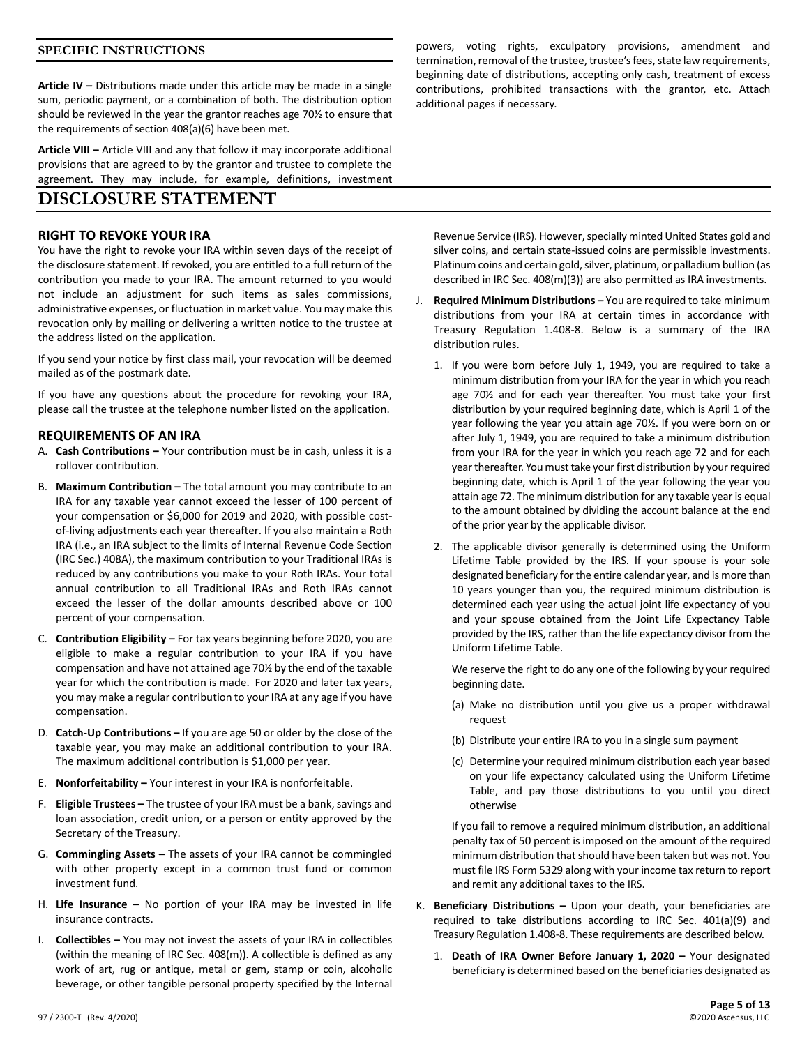#### **SPECIFIC INSTRUCTIONS**

**Article IV –** Distributions made under this article may be made in a single sum, periodic payment, or a combination of both. The distribution option should be reviewed in the year the grantor reaches age 70½ to ensure that the requirements of section 408(a)(6) have been met.

**Article VIII –** Article VIII and any that follow it may incorporate additional provisions that are agreed to by the grantor and trustee to complete the agreement. They may include, for example, definitions, investment

# **DISCLOSURE STATEMENT**

#### **RIGHT TO REVOKE YOUR IRA**

You have the right to revoke your IRA within seven days of the receipt of the disclosure statement. If revoked, you are entitled to a full return of the contribution you made to your IRA. The amount returned to you would not include an adjustment for such items as sales commissions, administrative expenses, or fluctuation in market value. You may make this revocation only by mailing or delivering a written notice to the trustee at the address listed on the application.

If you send your notice by first class mail, your revocation will be deemed mailed as of the postmark date.

If you have any questions about the procedure for revoking your IRA, please call the trustee at the telephone number listed on the application.

#### **REQUIREMENTS OF AN IRA**

- A. **Cash Contributions –** Your contribution must be in cash, unless it is a rollover contribution.
- B. **Maximum Contribution –** The total amount you may contribute to an IRA for any taxable year cannot exceed the lesser of 100 percent of your compensation or \$6,000 for 2019 and 2020, with possible costof-living adjustments each year thereafter. If you also maintain a Roth IRA (i.e., an IRA subject to the limits of Internal Revenue Code Section (IRC Sec.) 408A), the maximum contribution to your Traditional IRAs is reduced by any contributions you make to your Roth IRAs. Your total annual contribution to all Traditional IRAs and Roth IRAs cannot exceed the lesser of the dollar amounts described above or 100 percent of your compensation.
- C. **Contribution Eligibility –** For tax years beginning before 2020, you are eligible to make a regular contribution to your IRA if you have compensation and have not attained age 70½ by the end of the taxable year for which the contribution is made. For 2020 and later tax years, you may make a regular contribution to your IRA at any age if you have compensation.
- D. **Catch-Up Contributions –** If you are age 50 or older by the close of the taxable year, you may make an additional contribution to your IRA. The maximum additional contribution is \$1,000 per year.
- E. **Nonforfeitability –** Your interest in your IRA is nonforfeitable.
- F. **Eligible Trustees –** The trustee of your IRA must be a bank, savings and loan association, credit union, or a person or entity approved by the Secretary of the Treasury.
- G. **Commingling Assets –** The assets of your IRA cannot be commingled with other property except in a common trust fund or common investment fund.
- H. **Life Insurance –** No portion of your IRA may be invested in life insurance contracts.
- I. **Collectibles –** You may not invest the assets of your IRA in collectibles (within the meaning of IRC Sec. 408(m)). A collectible is defined as any work of art, rug or antique, metal or gem, stamp or coin, alcoholic beverage, or other tangible personal property specified by the Internal

powers, voting rights, exculpatory provisions, amendment and termination, removal of the trustee, trustee's fees, state law requirements, beginning date of distributions, accepting only cash, treatment of excess contributions, prohibited transactions with the grantor, etc. Attach additional pages if necessary.

Revenue Service (IRS). However, specially minted United States gold and silver coins, and certain state-issued coins are permissible investments. Platinum coins and certain gold, silver, platinum, or palladium bullion (as described in IRC Sec. 408(m)(3)) are also permitted as IRA investments.

- J. **Required Minimum Distributions –** You are required to take minimum distributions from your IRA at certain times in accordance with Treasury Regulation 1.408-8. Below is a summary of the IRA distribution rules.
	- 1. If you were born before July 1, 1949, you are required to take a minimum distribution from your IRA for the year in which you reach age 70½ and for each year thereafter. You must take your first distribution by your required beginning date, which is April 1 of the year following the year you attain age 70½. If you were born on or after July 1, 1949, you are required to take a minimum distribution from your IRA for the year in which you reach age 72 and for each year thereafter. You must take your first distribution by your required beginning date, which is April 1 of the year following the year you attain age 72. The minimum distribution for any taxable year is equal to the amount obtained by dividing the account balance at the end of the prior year by the applicable divisor.
	- 2. The applicable divisor generally is determined using the Uniform Lifetime Table provided by the IRS. If your spouse is your sole designated beneficiary for the entire calendar year, and is more than 10 years younger than you, the required minimum distribution is determined each year using the actual joint life expectancy of you and your spouse obtained from the Joint Life Expectancy Table provided by the IRS, rather than the life expectancy divisor from the Uniform Lifetime Table.

We reserve the right to do any one of the following by your required beginning date.

- (a) Make no distribution until you give us a proper withdrawal request
- (b) Distribute your entire IRA to you in a single sum payment
- (c) Determine your required minimum distribution each year based on your life expectancy calculated using the Uniform Lifetime Table, and pay those distributions to you until you direct otherwise

If you fail to remove a required minimum distribution, an additional penalty tax of 50 percent is imposed on the amount of the required minimum distribution that should have been taken but was not. You must file IRS Form 5329 along with your income tax return to report and remit any additional taxes to the IRS.

- K. **Beneficiary Distributions –** Upon your death, your beneficiaries are required to take distributions according to IRC Sec. 401(a)(9) and Treasury Regulation 1.408-8. These requirements are described below.
	- 1. **Death of IRA Owner Before January 1, 2020 –** Your designated beneficiary is determined based on the beneficiaries designated as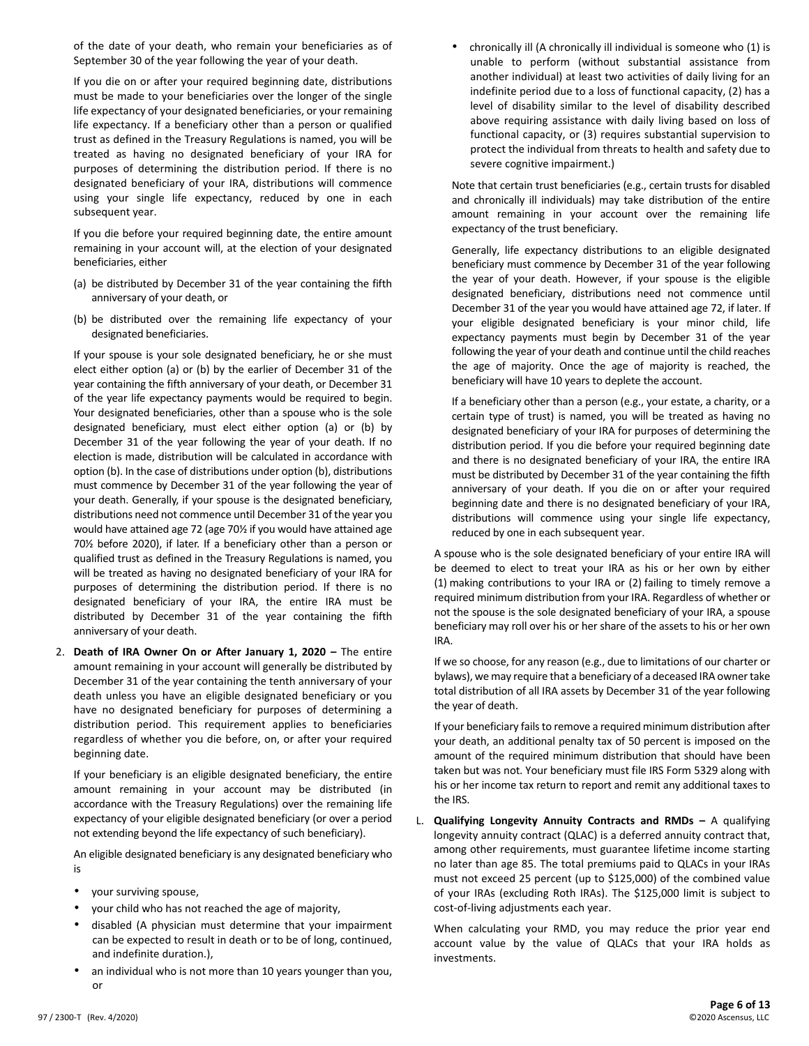of the date of your death, who remain your beneficiaries as of September 30 of the year following the year of your death.

If you die on or after your required beginning date, distributions must be made to your beneficiaries over the longer of the single life expectancy of your designated beneficiaries, or your remaining life expectancy. If a beneficiary other than a person or qualified trust as defined in the Treasury Regulations is named, you will be treated as having no designated beneficiary of your IRA for purposes of determining the distribution period. If there is no designated beneficiary of your IRA, distributions will commence using your single life expectancy, reduced by one in each subsequent year.

If you die before your required beginning date, the entire amount remaining in your account will, at the election of your designated beneficiaries, either

- (a) be distributed by December 31 of the year containing the fifth anniversary of your death, or
- (b) be distributed over the remaining life expectancy of your designated beneficiaries.

If your spouse is your sole designated beneficiary, he or she must elect either option (a) or (b) by the earlier of December 31 of the year containing the fifth anniversary of your death, or December 31 of the year life expectancy payments would be required to begin. Your designated beneficiaries, other than a spouse who is the sole designated beneficiary, must elect either option (a) or (b) by December 31 of the year following the year of your death. If no election is made, distribution will be calculated in accordance with option (b). In the case of distributions under option (b), distributions must commence by December 31 of the year following the year of your death. Generally, if your spouse is the designated beneficiary, distributions need not commence until December 31 of the year you would have attained age 72 (age 70½ if you would have attained age 70½ before 2020), if later. If a beneficiary other than a person or qualified trust as defined in the Treasury Regulations is named, you will be treated as having no designated beneficiary of your IRA for purposes of determining the distribution period. If there is no designated beneficiary of your IRA, the entire IRA must be distributed by December 31 of the year containing the fifth anniversary of your death.

2. **Death of IRA Owner On or After January 1, 2020 –** The entire amount remaining in your account will generally be distributed by December 31 of the year containing the tenth anniversary of your death unless you have an eligible designated beneficiary or you have no designated beneficiary for purposes of determining a distribution period. This requirement applies to beneficiaries regardless of whether you die before, on, or after your required beginning date.

If your beneficiary is an eligible designated beneficiary, the entire amount remaining in your account may be distributed (in accordance with the Treasury Regulations) over the remaining life expectancy of your eligible designated beneficiary (or over a period not extending beyond the life expectancy of such beneficiary).

An eligible designated beneficiary is any designated beneficiary who is

- your surviving spouse,
- your child who has not reached the age of majority,
- disabled (A physician must determine that your impairment can be expected to result in death or to be of long, continued, and indefinite duration.),
- an individual who is not more than 10 years younger than you, or

• chronically ill (A chronically ill individual is someone who (1) is unable to perform (without substantial assistance from another individual) at least two activities of daily living for an indefinite period due to a loss of functional capacity, (2) has a level of disability similar to the level of disability described above requiring assistance with daily living based on loss of functional capacity, or (3) requires substantial supervision to protect the individual from threats to health and safety due to severe cognitive impairment.)

Note that certain trust beneficiaries (e.g., certain trusts for disabled and chronically ill individuals) may take distribution of the entire amount remaining in your account over the remaining life expectancy of the trust beneficiary.

Generally, life expectancy distributions to an eligible designated beneficiary must commence by December 31 of the year following the year of your death. However, if your spouse is the eligible designated beneficiary, distributions need not commence until December 31 of the year you would have attained age 72, if later. If your eligible designated beneficiary is your minor child, life expectancy payments must begin by December 31 of the year following the year of your death and continue until the child reaches the age of majority. Once the age of majority is reached, the beneficiary will have 10 years to deplete the account.

If a beneficiary other than a person (e.g., your estate, a charity, or a certain type of trust) is named, you will be treated as having no designated beneficiary of your IRA for purposes of determining the distribution period. If you die before your required beginning date and there is no designated beneficiary of your IRA, the entire IRA must be distributed by December 31 of the year containing the fifth anniversary of your death. If you die on or after your required beginning date and there is no designated beneficiary of your IRA, distributions will commence using your single life expectancy, reduced by one in each subsequent year.

A spouse who is the sole designated beneficiary of your entire IRA will be deemed to elect to treat your IRA as his or her own by either (1) making contributions to your IRA or (2) failing to timely remove a required minimum distribution from your IRA. Regardless of whether or not the spouse is the sole designated beneficiary of your IRA, a spouse beneficiary may roll over his or her share of the assets to his or her own IRA.

If we so choose, for any reason (e.g., due to limitations of our charter or bylaws), we may require that a beneficiary of a deceased IRA owner take total distribution of all IRA assets by December 31 of the year following the year of death.

If your beneficiary fails to remove a required minimum distribution after your death, an additional penalty tax of 50 percent is imposed on the amount of the required minimum distribution that should have been taken but was not. Your beneficiary must file IRS Form 5329 along with his or her income tax return to report and remit any additional taxes to the IRS.

L. **Qualifying Longevity Annuity Contracts and RMDs –** A qualifying longevity annuity contract (QLAC) is a deferred annuity contract that, among other requirements, must guarantee lifetime income starting no later than age 85. The total premiums paid to QLACs in your IRAs must not exceed 25 percent (up to \$125,000) of the combined value of your IRAs (excluding Roth IRAs). The \$125,000 limit is subject to cost-of-living adjustments each year.

When calculating your RMD, you may reduce the prior year end account value by the value of QLACs that your IRA holds as investments.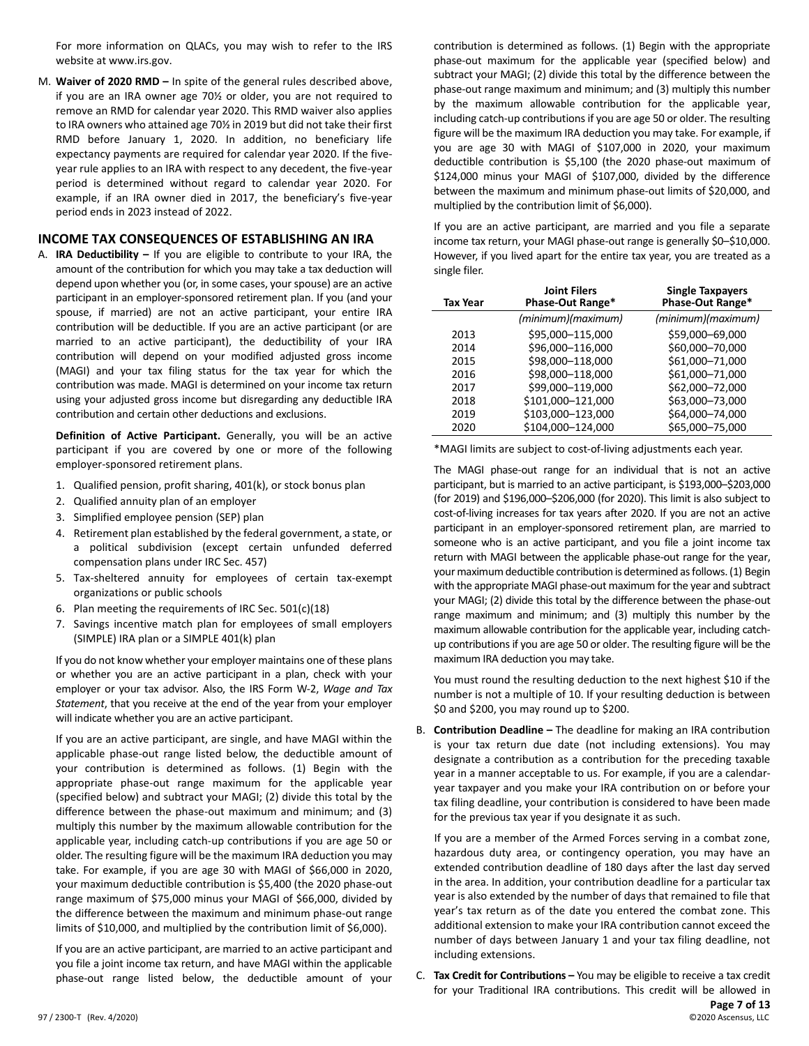For more information on QLACs, you may wish to refer to the IRS website at www.irs.gov.

M. **Waiver of 2020 RMD –** In spite of the general rules described above, if you are an IRA owner age 70½ or older, you are not required to remove an RMD for calendar year 2020. This RMD waiver also applies to IRA owners who attained age 70½ in 2019 but did not take their first RMD before January 1, 2020. In addition, no beneficiary life expectancy payments are required for calendar year 2020. If the fiveyear rule applies to an IRA with respect to any decedent, the five-year period is determined without regard to calendar year 2020. For example, if an IRA owner died in 2017, the beneficiary's five-year period ends in 2023 instead of 2022.

#### **INCOME TAX CONSEQUENCES OF ESTABLISHING AN IRA**

A. **IRA Deductibility –** If you are eligible to contribute to your IRA, the amount of the contribution for which you may take a tax deduction will depend upon whether you (or, in some cases, your spouse) are an active participant in an employer-sponsored retirement plan. If you (and your spouse, if married) are not an active participant, your entire IRA contribution will be deductible. If you are an active participant (or are married to an active participant), the deductibility of your IRA contribution will depend on your modified adjusted gross income (MAGI) and your tax filing status for the tax year for which the contribution was made. MAGI is determined on your income tax return using your adjusted gross income but disregarding any deductible IRA contribution and certain other deductions and exclusions.

**Definition of Active Participant.** Generally, you will be an active participant if you are covered by one or more of the following employer-sponsored retirement plans.

- 1. Qualified pension, profit sharing, 401(k), or stock bonus plan
- 2. Qualified annuity plan of an employer
- 3. Simplified employee pension (SEP) plan
- 4. Retirement plan established by the federal government, a state, or a political subdivision (except certain unfunded deferred compensation plans under IRC Sec. 457)
- 5. Tax-sheltered annuity for employees of certain tax-exempt organizations or public schools
- 6. Plan meeting the requirements of IRC Sec. 501(c)(18)
- 7. Savings incentive match plan for employees of small employers (SIMPLE) IRA plan or a SIMPLE 401(k) plan

If you do not know whether your employer maintains one of these plans or whether you are an active participant in a plan, check with your employer or your tax advisor. Also, the IRS Form W-2, *Wage and Tax Statement*, that you receive at the end of the year from your employer will indicate whether you are an active participant.

If you are an active participant, are single, and have MAGI within the applicable phase-out range listed below, the deductible amount of your contribution is determined as follows. (1) Begin with the appropriate phase-out range maximum for the applicable year (specified below) and subtract your MAGI; (2) divide this total by the difference between the phase-out maximum and minimum; and (3) multiply this number by the maximum allowable contribution for the applicable year, including catch-up contributions if you are age 50 or older. The resulting figure will be the maximum IRA deduction you may take. For example, if you are age 30 with MAGI of \$66,000 in 2020, your maximum deductible contribution is \$5,400 (the 2020 phase-out range maximum of \$75,000 minus your MAGI of \$66,000, divided by the difference between the maximum and minimum phase-out range limits of \$10,000, and multiplied by the contribution limit of \$6,000).

If you are an active participant, are married to an active participant and you file a joint income tax return, and have MAGI within the applicable phase-out range listed below, the deductible amount of your

contribution is determined as follows. (1) Begin with the appropriate phase-out maximum for the applicable year (specified below) and subtract your MAGI; (2) divide this total by the difference between the phase-out range maximum and minimum; and (3) multiply this number by the maximum allowable contribution for the applicable year, including catch-up contributions if you are age 50 or older. The resulting figure will be the maximum IRA deduction you may take. For example, if you are age 30 with MAGI of \$107,000 in 2020, your maximum deductible contribution is \$5,100 (the 2020 phase-out maximum of \$124,000 minus your MAGI of \$107,000, divided by the difference between the maximum and minimum phase-out limits of \$20,000, and multiplied by the contribution limit of \$6,000).

If you are an active participant, are married and you file a separate income tax return, your MAGI phase-out range is generally \$0–\$10,000. However, if you lived apart for the entire tax year, you are treated as a single filer.

| Tax Year | <b>Joint Filers</b><br>Phase-Out Range* | <b>Single Taxpayers</b><br>Phase-Out Range* |
|----------|-----------------------------------------|---------------------------------------------|
|          | (minimum)(maximum)                      | (minimum)(maximum)                          |
| 2013     | \$95,000-115,000                        | \$59,000-69,000                             |
| 2014     | \$96,000-116,000                        | \$60,000-70,000                             |
| 2015     | \$98,000-118,000                        | \$61,000-71,000                             |
| 2016     | \$98,000-118,000                        | \$61,000-71,000                             |
| 2017     | \$99,000-119,000                        | \$62,000-72,000                             |
| 2018     | \$101,000-121,000                       | \$63,000-73,000                             |
| 2019     | \$103,000-123,000                       | \$64,000-74,000                             |
| 2020     | \$104.000-124.000                       | \$65,000-75,000                             |

\*MAGI limits are subject to cost-of-living adjustments each year.

The MAGI phase-out range for an individual that is not an active participant, but is married to an active participant, is \$193,000–\$203,000 (for 2019) and \$196,000–\$206,000 (for 2020). This limit is also subject to cost-of-living increases for tax years after 2020. If you are not an active participant in an employer-sponsored retirement plan, are married to someone who is an active participant, and you file a joint income tax return with MAGI between the applicable phase-out range for the year, your maximum deductible contribution is determined as follows. (1) Begin with the appropriate MAGI phase-out maximum for the year and subtract your MAGI; (2) divide this total by the difference between the phase-out range maximum and minimum; and (3) multiply this number by the maximum allowable contribution for the applicable year, including catchup contributions if you are age 50 or older. The resulting figure will be the maximum IRA deduction you may take.

You must round the resulting deduction to the next highest \$10 if the number is not a multiple of 10. If your resulting deduction is between \$0 and \$200, you may round up to \$200.

B. **Contribution Deadline –** The deadline for making an IRA contribution is your tax return due date (not including extensions). You may designate a contribution as a contribution for the preceding taxable year in a manner acceptable to us. For example, if you are a calendaryear taxpayer and you make your IRA contribution on or before your tax filing deadline, your contribution is considered to have been made for the previous tax year if you designate it as such.

If you are a member of the Armed Forces serving in a combat zone, hazardous duty area, or contingency operation, you may have an extended contribution deadline of 180 days after the last day served in the area. In addition, your contribution deadline for a particular tax year is also extended by the number of days that remained to file that year's tax return as of the date you entered the combat zone. This additional extension to make your IRA contribution cannot exceed the number of days between January 1 and your tax filing deadline, not including extensions.

**Page 7 of 13** C. **Tax Credit for Contributions –** You may be eligible to receive a tax credit for your Traditional IRA contributions. This credit will be allowed in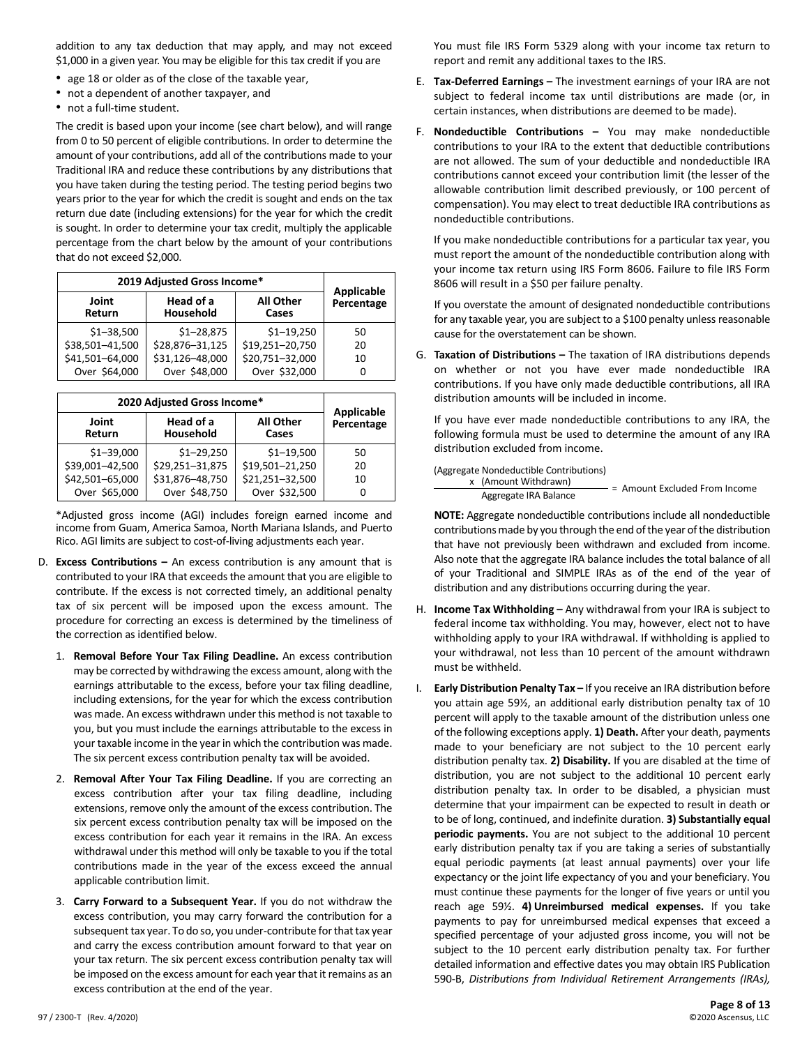addition to any tax deduction that may apply, and may not exceed \$1,000 in a given year. You may be eligible for this tax credit if you are

- age 18 or older as of the close of the taxable year,
- not a dependent of another taxpayer, and
- not a full-time student.

The credit is based upon your income (see chart below), and will range from 0 to 50 percent of eligible contributions. In order to determine the amount of your contributions, add all of the contributions made to your Traditional IRA and reduce these contributions by any distributions that you have taken during the testing period. The testing period begins two years prior to the year for which the credit is sought and ends on the tax return due date (including extensions) for the year for which the credit is sought. In order to determine your tax credit, multiply the applicable percentage from the chart below by the amount of your contributions that do not exceed \$2,000.

| 2019 Adjusted Gross Income* | Applicable             |                           |            |
|-----------------------------|------------------------|---------------------------|------------|
| Joint<br>Return             | Head of a<br>Household | <b>All Other</b><br>Cases | Percentage |
| $$1 - 38,500$               | $$1 - 28,875$          | $$1 - 19,250$             | 50         |
| \$38,501-41,500             | \$28,876-31,125        | \$19,251-20,750           | 20         |
| \$41,501-64,000             | \$31,126-48,000        | \$20,751-32,000           | 10         |
| Over \$64,000               | Over \$48,000          | Over \$32,000             |            |

| 2020 Adjusted Gross Income* | <b>Applicable</b>      |                           |            |
|-----------------------------|------------------------|---------------------------|------------|
| Joint<br><b>Return</b>      | Head of a<br>Household | <b>All Other</b><br>Cases | Percentage |
| $$1 - 39,000$               | $$1 - 29,250$          | $$1 - 19,500$             | 50         |
| \$39,001-42,500             | \$29,251-31,875        | \$19,501-21,250           | 20         |
| \$42,501-65,000             | \$31,876-48,750        | \$21,251-32,500           | 10         |
| Over \$65,000               | Over \$48,750          | Over \$32,500             | 0          |

\*Adjusted gross income (AGI) includes foreign earned income and income from Guam, America Samoa, North Mariana Islands, and Puerto Rico. AGI limits are subject to cost-of-living adjustments each year.

- D. **Excess Contributions –** An excess contribution is any amount that is contributed to your IRA that exceeds the amount that you are eligible to contribute. If the excess is not corrected timely, an additional penalty tax of six percent will be imposed upon the excess amount. The procedure for correcting an excess is determined by the timeliness of the correction as identified below.
	- 1. **Removal Before Your Tax Filing Deadline.** An excess contribution may be corrected by withdrawing the excess amount, along with the earnings attributable to the excess, before your tax filing deadline, including extensions, for the year for which the excess contribution was made. An excess withdrawn under this method is not taxable to you, but you must include the earnings attributable to the excess in your taxable income in the year in which the contribution was made. The six percent excess contribution penalty tax will be avoided.
	- 2. **Removal After Your Tax Filing Deadline.** If you are correcting an excess contribution after your tax filing deadline, including extensions, remove only the amount of the excess contribution. The six percent excess contribution penalty tax will be imposed on the excess contribution for each year it remains in the IRA. An excess withdrawal under this method will only be taxable to you if the total contributions made in the year of the excess exceed the annual applicable contribution limit.
	- 3. **Carry Forward to a Subsequent Year.** If you do not withdraw the excess contribution, you may carry forward the contribution for a subsequent tax year. To do so, you under-contribute for that tax year and carry the excess contribution amount forward to that year on your tax return. The six percent excess contribution penalty tax will be imposed on the excess amount for each year that it remains as an excess contribution at the end of the year.

You must file IRS Form 5329 along with your income tax return to report and remit any additional taxes to the IRS.

- E. **Tax-Deferred Earnings –** The investment earnings of your IRA are not subject to federal income tax until distributions are made (or, in certain instances, when distributions are deemed to be made).
- F. **Nondeductible Contributions –** You may make nondeductible contributions to your IRA to the extent that deductible contributions are not allowed. The sum of your deductible and nondeductible IRA contributions cannot exceed your contribution limit (the lesser of the allowable contribution limit described previously, or 100 percent of compensation). You may elect to treat deductible IRA contributions as nondeductible contributions.

If you make nondeductible contributions for a particular tax year, you must report the amount of the nondeductible contribution along with your income tax return using IRS Form 8606. Failure to file IRS Form 8606 will result in a \$50 per failure penalty.

If you overstate the amount of designated nondeductible contributions for any taxable year, you are subject to a \$100 penalty unless reasonable cause for the overstatement can be shown.

G. **Taxation of Distributions –** The taxation of IRA distributions depends on whether or not you have ever made nondeductible IRA contributions. If you have only made deductible contributions, all IRA distribution amounts will be included in income.

If you have ever made nondeductible contributions to any IRA, the following formula must be used to determine the amount of any IRA distribution excluded from income.

(Aggregate Nondeductible Contributions)

x (Amount Withdrawn) Aggregate IRA Balance = Amount Excluded From Income

**NOTE:** Aggregate nondeductible contributions include all nondeductible contributions made by you through the end of the year of the distribution that have not previously been withdrawn and excluded from income. Also note that the aggregate IRA balance includes the total balance of all of your Traditional and SIMPLE IRAs as of the end of the year of distribution and any distributions occurring during the year.

- H. **Income Tax Withholding –** Any withdrawal from your IRA is subject to federal income tax withholding. You may, however, elect not to have withholding apply to your IRA withdrawal. If withholding is applied to your withdrawal, not less than 10 percent of the amount withdrawn must be withheld.
- I. **Early Distribution Penalty Tax –** If you receive an IRA distribution before you attain age 59½, an additional early distribution penalty tax of 10 percent will apply to the taxable amount of the distribution unless one of the following exceptions apply. **1) Death.** After your death, payments made to your beneficiary are not subject to the 10 percent early distribution penalty tax. **2) Disability.** If you are disabled at the time of distribution, you are not subject to the additional 10 percent early distribution penalty tax. In order to be disabled, a physician must determine that your impairment can be expected to result in death or to be of long, continued, and indefinite duration. **3) Substantially equal periodic payments.** You are not subject to the additional 10 percent early distribution penalty tax if you are taking a series of substantially equal periodic payments (at least annual payments) over your life expectancy or the joint life expectancy of you and your beneficiary. You must continue these payments for the longer of five years or until you reach age 59½. **4) Unreimbursed medical expenses.** If you take payments to pay for unreimbursed medical expenses that exceed a specified percentage of your adjusted gross income, you will not be subject to the 10 percent early distribution penalty tax. For further detailed information and effective dates you may obtain IRS Publication 590-B, *Distributions from Individual Retirement Arrangements (IRAs),*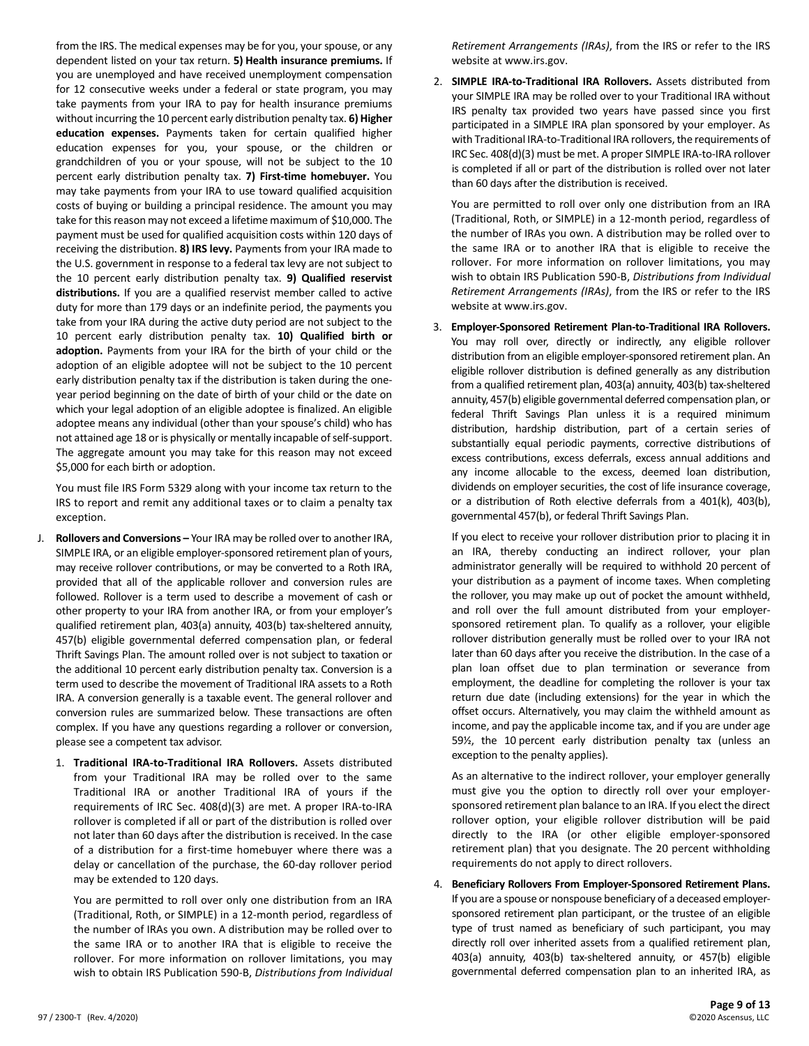from the IRS. The medical expenses may be for you, your spouse, or any dependent listed on your tax return. **5) Health insurance premiums.** If you are unemployed and have received unemployment compensation for 12 consecutive weeks under a federal or state program, you may take payments from your IRA to pay for health insurance premiums without incurring the 10 percent early distribution penalty tax. **6) Higher education expenses.** Payments taken for certain qualified higher education expenses for you, your spouse, or the children or grandchildren of you or your spouse, will not be subject to the 10 percent early distribution penalty tax. **7) First-time homebuyer.** You may take payments from your IRA to use toward qualified acquisition costs of buying or building a principal residence. The amount you may take for this reason may not exceed a lifetime maximum of \$10,000. The payment must be used for qualified acquisition costs within 120 days of receiving the distribution. **8) IRS levy.** Payments from your IRA made to the U.S. government in response to a federal tax levy are not subject to the 10 percent early distribution penalty tax. **9) Qualified reservist distributions.** If you are a qualified reservist member called to active duty for more than 179 days or an indefinite period, the payments you take from your IRA during the active duty period are not subject to the 10 percent early distribution penalty tax. **10) Qualified birth or adoption.** Payments from your IRA for the birth of your child or the adoption of an eligible adoptee will not be subject to the 10 percent early distribution penalty tax if the distribution is taken during the oneyear period beginning on the date of birth of your child or the date on which your legal adoption of an eligible adoptee is finalized. An eligible adoptee means any individual (other than your spouse's child) who has not attained age 18 or is physically or mentally incapable of self-support. The aggregate amount you may take for this reason may not exceed \$5,000 for each birth or adoption.

You must file IRS Form 5329 along with your income tax return to the IRS to report and remit any additional taxes or to claim a penalty tax exception.

- J. **Rollovers and Conversions** Your IRA may be rolled over to another IRA, SIMPLE IRA, or an eligible employer-sponsored retirement plan of yours, may receive rollover contributions, or may be converted to a Roth IRA, provided that all of the applicable rollover and conversion rules are followed. Rollover is a term used to describe a movement of cash or other property to your IRA from another IRA, or from your employer's qualified retirement plan, 403(a) annuity, 403(b) tax-sheltered annuity, 457(b) eligible governmental deferred compensation plan, or federal Thrift Savings Plan. The amount rolled over is not subject to taxation or the additional 10 percent early distribution penalty tax. Conversion is a term used to describe the movement of Traditional IRA assets to a Roth IRA. A conversion generally is a taxable event. The general rollover and conversion rules are summarized below. These transactions are often complex. If you have any questions regarding a rollover or conversion, please see a competent tax advisor.
	- 1. **Traditional IRA-to-Traditional IRA Rollovers.** Assets distributed from your Traditional IRA may be rolled over to the same Traditional IRA or another Traditional IRA of yours if the requirements of IRC Sec. 408(d)(3) are met. A proper IRA-to-IRA rollover is completed if all or part of the distribution is rolled over not later than 60 days after the distribution is received. In the case of a distribution for a first-time homebuyer where there was a delay or cancellation of the purchase, the 60-day rollover period may be extended to 120 days.

You are permitted to roll over only one distribution from an IRA (Traditional, Roth, or SIMPLE) in a 12-month period, regardless of the number of IRAs you own. A distribution may be rolled over to the same IRA or to another IRA that is eligible to receive the rollover. For more information on rollover limitations, you may wish to obtain IRS Publication 590-B, *Distributions from Individual*  *Retirement Arrangements (IRAs)*, from the IRS or refer to the IRS website at www.irs.gov.

2. **SIMPLE IRA-to-Traditional IRA Rollovers.** Assets distributed from your SIMPLE IRA may be rolled over to your Traditional IRA without IRS penalty tax provided two years have passed since you first participated in a SIMPLE IRA plan sponsored by your employer. As with Traditional IRA-to-Traditional IRA rollovers, the requirements of IRC Sec. 408(d)(3) must be met. A proper SIMPLE IRA-to-IRA rollover is completed if all or part of the distribution is rolled over not later than 60 days after the distribution is received.

You are permitted to roll over only one distribution from an IRA (Traditional, Roth, or SIMPLE) in a 12-month period, regardless of the number of IRAs you own. A distribution may be rolled over to the same IRA or to another IRA that is eligible to receive the rollover. For more information on rollover limitations, you may wish to obtain IRS Publication 590-B, *Distributions from Individual Retirement Arrangements (IRAs)*, from the IRS or refer to the IRS website at www.irs.gov.

3. **Employer-Sponsored Retirement Plan-to-Traditional IRA Rollovers.** You may roll over, directly or indirectly, any eligible rollover distribution from an eligible employer-sponsored retirement plan. An eligible rollover distribution is defined generally as any distribution from a qualified retirement plan, 403(a) annuity, 403(b) tax-sheltered annuity, 457(b) eligible governmental deferred compensation plan, or federal Thrift Savings Plan unless it is a required minimum distribution, hardship distribution, part of a certain series of substantially equal periodic payments, corrective distributions of excess contributions, excess deferrals, excess annual additions and any income allocable to the excess, deemed loan distribution, dividends on employer securities, the cost of life insurance coverage, or a distribution of Roth elective deferrals from a 401(k), 403(b), governmental 457(b), or federal Thrift Savings Plan.

If you elect to receive your rollover distribution prior to placing it in an IRA, thereby conducting an indirect rollover, your plan administrator generally will be required to withhold 20 percent of your distribution as a payment of income taxes. When completing the rollover, you may make up out of pocket the amount withheld, and roll over the full amount distributed from your employersponsored retirement plan. To qualify as a rollover, your eligible rollover distribution generally must be rolled over to your IRA not later than 60 days after you receive the distribution. In the case of a plan loan offset due to plan termination or severance from employment, the deadline for completing the rollover is your tax return due date (including extensions) for the year in which the offset occurs. Alternatively, you may claim the withheld amount as income, and pay the applicable income tax, and if you are under age 59½, the 10 percent early distribution penalty tax (unless an exception to the penalty applies).

As an alternative to the indirect rollover, your employer generally must give you the option to directly roll over your employersponsored retirement plan balance to an IRA. If you elect the direct rollover option, your eligible rollover distribution will be paid directly to the IRA (or other eligible employer-sponsored retirement plan) that you designate. The 20 percent withholding requirements do not apply to direct rollovers.

4. **Beneficiary Rollovers From Employer-Sponsored Retirement Plans.** If you are a spouse or nonspouse beneficiary of a deceased employersponsored retirement plan participant, or the trustee of an eligible type of trust named as beneficiary of such participant, you may directly roll over inherited assets from a qualified retirement plan, 403(a) annuity, 403(b) tax-sheltered annuity, or 457(b) eligible governmental deferred compensation plan to an inherited IRA, as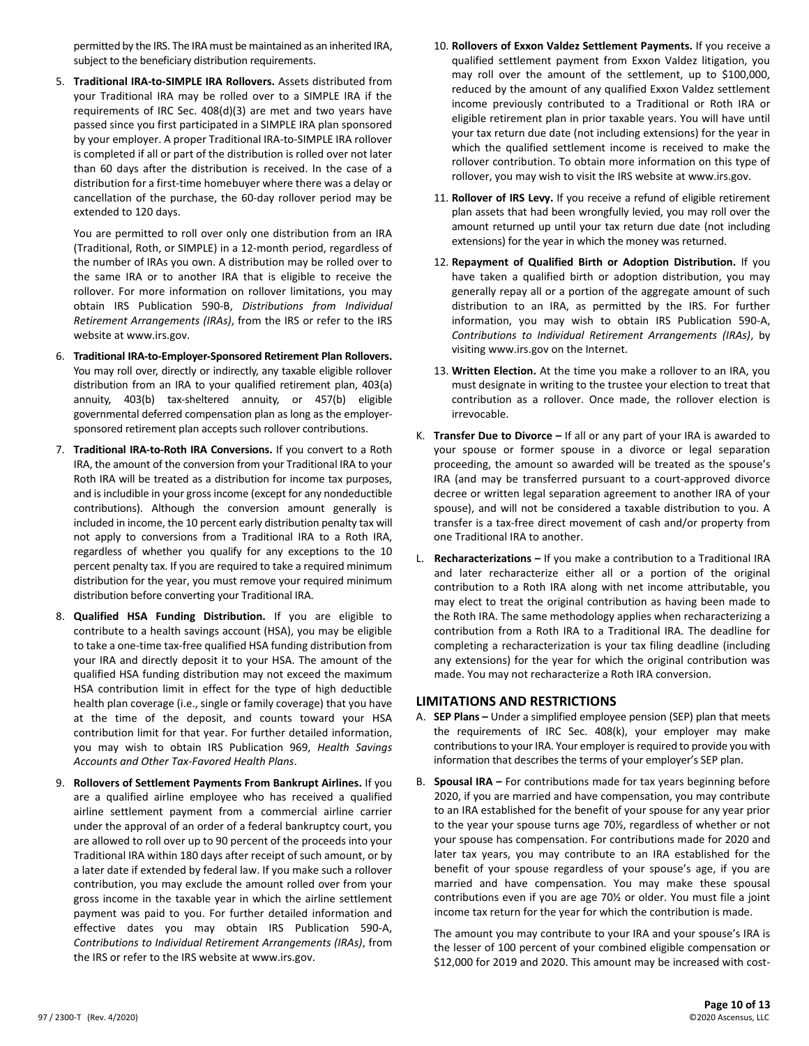permitted by the IRS. The IRA must be maintained as an inherited IRA, subject to the beneficiary distribution requirements.

5. **Traditional IRA-to-SIMPLE IRA Rollovers.** Assets distributed from your Traditional IRA may be rolled over to a SIMPLE IRA if the requirements of IRC Sec. 408(d)(3) are met and two years have passed since you first participated in a SIMPLE IRA plan sponsored by your employer. A proper Traditional IRA-to-SIMPLE IRA rollover is completed if all or part of the distribution is rolled over not later than 60 days after the distribution is received. In the case of a distribution for a first-time homebuyer where there was a delay or cancellation of the purchase, the 60-day rollover period may be extended to 120 days.

You are permitted to roll over only one distribution from an IRA (Traditional, Roth, or SIMPLE) in a 12-month period, regardless of the number of IRAs you own. A distribution may be rolled over to the same IRA or to another IRA that is eligible to receive the rollover. For more information on rollover limitations, you may obtain IRS Publication 590-B, *Distributions from Individual Retirement Arrangements (IRAs)*, from the IRS or refer to the IRS website at www.irs.gov.

- 6. **Traditional IRA-to-Employer-Sponsored Retirement Plan Rollovers.** You may roll over, directly or indirectly, any taxable eligible rollover distribution from an IRA to your qualified retirement plan, 403(a) annuity, 403(b) tax-sheltered annuity, or 457(b) eligible governmental deferred compensation plan as long as the employersponsored retirement plan accepts such rollover contributions.
- 7. **Traditional IRA-to-Roth IRA Conversions.** If you convert to a Roth IRA, the amount of the conversion from your Traditional IRA to your Roth IRA will be treated as a distribution for income tax purposes, and is includible in your gross income (except for any nondeductible contributions). Although the conversion amount generally is included in income, the 10 percent early distribution penalty tax will not apply to conversions from a Traditional IRA to a Roth IRA, regardless of whether you qualify for any exceptions to the 10 percent penalty tax. If you are required to take a required minimum distribution for the year, you must remove your required minimum distribution before converting your Traditional IRA.
- 8. **Qualified HSA Funding Distribution.** If you are eligible to contribute to a health savings account (HSA), you may be eligible to take a one-time tax-free qualified HSA funding distribution from your IRA and directly deposit it to your HSA. The amount of the qualified HSA funding distribution may not exceed the maximum HSA contribution limit in effect for the type of high deductible health plan coverage (i.e., single or family coverage) that you have at the time of the deposit, and counts toward your HSA contribution limit for that year. For further detailed information, you may wish to obtain IRS Publication 969, *Health Savings Accounts and Other Tax-Favored Health Plans*.
- 9. **Rollovers of Settlement Payments From Bankrupt Airlines.** If you are a qualified airline employee who has received a qualified airline settlement payment from a commercial airline carrier under the approval of an order of a federal bankruptcy court, you are allowed to roll over up to 90 percent of the proceeds into your Traditional IRA within 180 days after receipt of such amount, or by a later date if extended by federal law. If you make such a rollover contribution, you may exclude the amount rolled over from your gross income in the taxable year in which the airline settlement payment was paid to you. For further detailed information and effective dates you may obtain IRS Publication 590-A, *Contributions to Individual Retirement Arrangements (IRAs)*, from the IRS or refer to the IRS website at www.irs.gov.
- 10. **Rollovers of Exxon Valdez Settlement Payments.** If you receive a qualified settlement payment from Exxon Valdez litigation, you may roll over the amount of the settlement, up to \$100,000, reduced by the amount of any qualified Exxon Valdez settlement income previously contributed to a Traditional or Roth IRA or eligible retirement plan in prior taxable years. You will have until your tax return due date (not including extensions) for the year in which the qualified settlement income is received to make the rollover contribution. To obtain more information on this type of rollover, you may wish to visit the IRS website at www.irs.gov.
- 11. **Rollover of IRS Levy.** If you receive a refund of eligible retirement plan assets that had been wrongfully levied, you may roll over the amount returned up until your tax return due date (not including extensions) for the year in which the money was returned.
- 12. **Repayment of Qualified Birth or Adoption Distribution.** If you have taken a qualified birth or adoption distribution, you may generally repay all or a portion of the aggregate amount of such distribution to an IRA, as permitted by the IRS. For further information, you may wish to obtain IRS Publication 590-A, *Contributions to Individual Retirement Arrangements (IRAs)*, by visiting www.irs.gov on the Internet.
- 13. **Written Election.** At the time you make a rollover to an IRA, you must designate in writing to the trustee your election to treat that contribution as a rollover. Once made, the rollover election is irrevocable.
- K. **Transfer Due to Divorce –** If all or any part of your IRA is awarded to your spouse or former spouse in a divorce or legal separation proceeding, the amount so awarded will be treated as the spouse's IRA (and may be transferred pursuant to a court-approved divorce decree or written legal separation agreement to another IRA of your spouse), and will not be considered a taxable distribution to you. A transfer is a tax-free direct movement of cash and/or property from one Traditional IRA to another.
- L. **Recharacterizations –** If you make a contribution to a Traditional IRA and later recharacterize either all or a portion of the original contribution to a Roth IRA along with net income attributable, you may elect to treat the original contribution as having been made to the Roth IRA. The same methodology applies when recharacterizing a contribution from a Roth IRA to a Traditional IRA. The deadline for completing a recharacterization is your tax filing deadline (including any extensions) for the year for which the original contribution was made. You may not recharacterize a Roth IRA conversion.

# **LIMITATIONS AND RESTRICTIONS**

- A. **SEP Plans –** Under a simplified employee pension (SEP) plan that meets the requirements of IRC Sec. 408(k), your employer may make contributions to your IRA. Your employer is required to provide you with information that describes the terms of your employer's SEP plan.
- B. **Spousal IRA –** For contributions made for tax years beginning before 2020, if you are married and have compensation, you may contribute to an IRA established for the benefit of your spouse for any year prior to the year your spouse turns age 70½, regardless of whether or not your spouse has compensation. For contributions made for 2020 and later tax years, you may contribute to an IRA established for the benefit of your spouse regardless of your spouse's age, if you are married and have compensation. You may make these spousal contributions even if you are age 70½ or older. You must file a joint income tax return for the year for which the contribution is made.

The amount you may contribute to your IRA and your spouse's IRA is the lesser of 100 percent of your combined eligible compensation or \$12,000 for 2019 and 2020. This amount may be increased with cost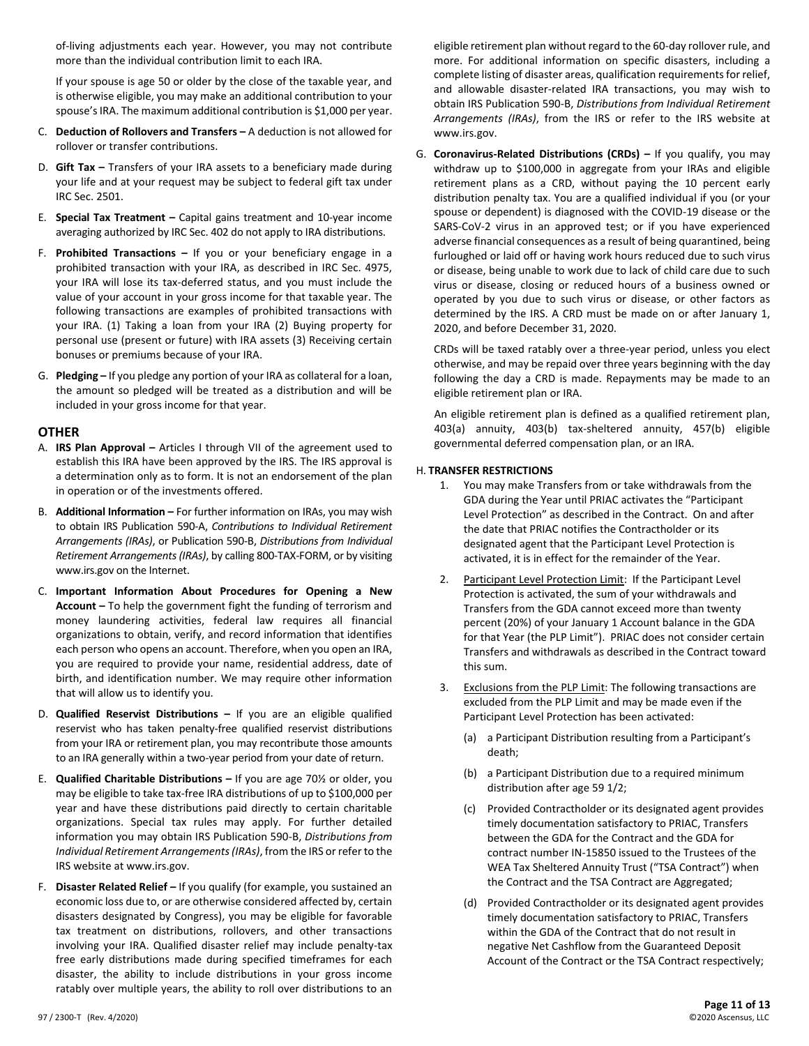of-living adjustments each year. However, you may not contribute more than the individual contribution limit to each IRA.

If your spouse is age 50 or older by the close of the taxable year, and is otherwise eligible, you may make an additional contribution to your spouse's IRA. The maximum additional contribution is \$1,000 per year.

- C. **Deduction of Rollovers and Transfers –** A deduction is not allowed for rollover or transfer contributions.
- D. **Gift Tax –** Transfers of your IRA assets to a beneficiary made during your life and at your request may be subject to federal gift tax under IRC Sec. 2501.
- E. **Special Tax Treatment –** Capital gains treatment and 10-year income averaging authorized by IRC Sec. 402 do not apply to IRA distributions.
- F. **Prohibited Transactions –** If you or your beneficiary engage in a prohibited transaction with your IRA, as described in IRC Sec. 4975, your IRA will lose its tax-deferred status, and you must include the value of your account in your gross income for that taxable year. The following transactions are examples of prohibited transactions with your IRA. (1) Taking a loan from your IRA (2) Buying property for personal use (present or future) with IRA assets (3) Receiving certain bonuses or premiums because of your IRA.
- G. **Pledging –** If you pledge any portion of your IRA as collateral for a loan, the amount so pledged will be treated as a distribution and will be included in your gross income for that year.

#### **OTHER**

- A. **IRS Plan Approval –** Articles I through VII of the agreement used to establish this IRA have been approved by the IRS. The IRS approval is a determination only as to form. It is not an endorsement of the plan in operation or of the investments offered.
- B. **Additional Information –** For further information on IRAs, you may wish to obtain IRS Publication 590-A, *Contributions to Individual Retirement Arrangements (IRAs)*, or Publication 590-B, *Distributions from Individual Retirement Arrangements (IRAs)*, by calling 800-TAX-FORM, or by visiting www.irs.gov on the Internet.
- C. **Important Information About Procedures for Opening a New Account –** To help the government fight the funding of terrorism and money laundering activities, federal law requires all financial organizations to obtain, verify, and record information that identifies each person who opens an account. Therefore, when you open an IRA, you are required to provide your name, residential address, date of birth, and identification number. We may require other information that will allow us to identify you.
- D. **Qualified Reservist Distributions –** If you are an eligible qualified reservist who has taken penalty-free qualified reservist distributions from your IRA or retirement plan, you may recontribute those amounts to an IRA generally within a two-year period from your date of return.
- E. **Qualified Charitable Distributions –** If you are age 70½ or older, you may be eligible to take tax-free IRA distributions of up to \$100,000 per year and have these distributions paid directly to certain charitable organizations. Special tax rules may apply. For further detailed information you may obtain IRS Publication 590-B, *Distributions from Individual Retirement Arrangements(IRAs)*, from the IRS or referto the IRS website at www.irs.gov.
- F. Disaster Related Relief If you qualify (for example, you sustained an economic loss due to, or are otherwise considered affected by, certain disasters designated by Congress), you may be eligible for favorable tax treatment on distributions, rollovers, and other transactions involving your IRA. Qualified disaster relief may include penalty-tax free early distributions made during specified timeframes for each disaster, the ability to include distributions in your gross income ratably over multiple years, the ability to roll over distributions to an

eligible retirement plan without regard to the 60-day rollover rule, and more. For additional information on specific disasters, including a complete listing of disaster areas, qualification requirements for relief, and allowable disaster-related IRA transactions, you may wish to obtain IRS Publication 590-B, *Distributions from Individual Retirement Arrangements (IRAs)*, from the IRS or refer to the IRS website at www.irs.gov.

G. **Coronavirus-Related Distributions (CRDs) –** If you qualify, you may withdraw up to \$100,000 in aggregate from your IRAs and eligible retirement plans as a CRD, without paying the 10 percent early distribution penalty tax. You are a qualified individual if you (or your spouse or dependent) is diagnosed with the COVID-19 disease or the SARS-CoV-2 virus in an approved test; or if you have experienced adverse financial consequences as a result of being quarantined, being furloughed or laid off or having work hours reduced due to such virus or disease, being unable to work due to lack of child care due to such virus or disease, closing or reduced hours of a business owned or operated by you due to such virus or disease, or other factors as determined by the IRS. A CRD must be made on or after January 1, 2020, and before December 31, 2020.

CRDs will be taxed ratably over a three-year period, unless you elect otherwise, and may be repaid over three years beginning with the day following the day a CRD is made. Repayments may be made to an eligible retirement plan or IRA.

An eligible retirement plan is defined as a qualified retirement plan, 403(a) annuity, 403(b) tax-sheltered annuity, 457(b) eligible governmental deferred compensation plan, or an IRA.

### H. **TRANSFER RESTRICTIONS**

- 1. You may make Transfers from or take withdrawals from the GDA during the Year until PRIAC activates the "Participant Level Protection" as described in the Contract. On and after the date that PRIAC notifies the Contractholder or its designated agent that the Participant Level Protection is activated, it is in effect for the remainder of the Year.
- 2. Participant Level Protection Limit: If the Participant Level Protection is activated, the sum of your withdrawals and Transfers from the GDA cannot exceed more than twenty percent (20%) of your January 1 Account balance in the GDA for that Year (the PLP Limit"). PRIAC does not consider certain Transfers and withdrawals as described in the Contract toward this sum.
- 3. Exclusions from the PLP Limit: The following transactions are excluded from the PLP Limit and may be made even if the Participant Level Protection has been activated:
	- (a) a Participant Distribution resulting from a Participant's death;
	- (b) a Participant Distribution due to a required minimum distribution after age 59 1/2;
	- (c) Provided Contractholder or its designated agent provides timely documentation satisfactory to PRIAC, Transfers between the GDA for the Contract and the GDA for contract number IN-15850 issued to the Trustees of the WEA Tax Sheltered Annuity Trust ("TSA Contract") when the Contract and the TSA Contract are Aggregated;
	- (d) Provided Contractholder or its designated agent provides timely documentation satisfactory to PRIAC, Transfers within the GDA of the Contract that do not result in negative Net Cashflow from the Guaranteed Deposit Account of the Contract or the TSA Contract respectively;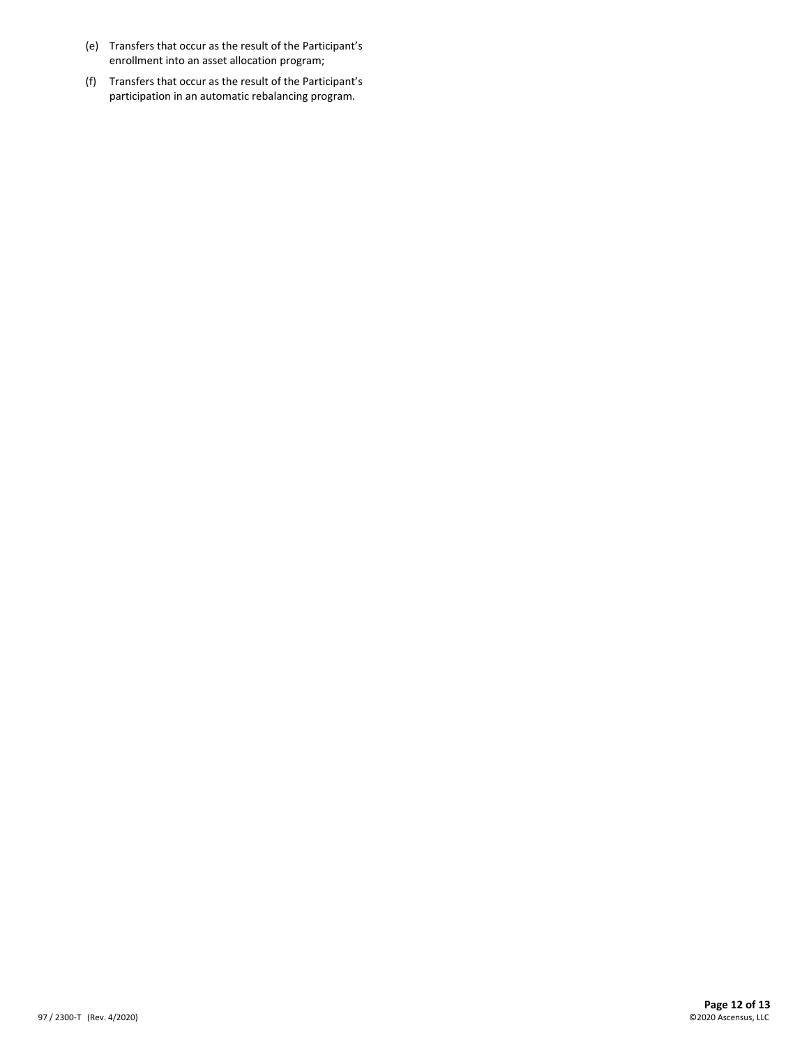- (e) Transfers that occur as the result of the Participant's enrollment into an asset allocation program;
- (f) Transfers that occur as the result of the Participant's participation in an automatic rebalancing program.